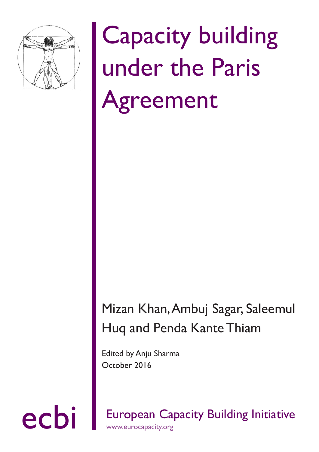

# Capacity building under the Paris Agreement

## Mizan Khan, Ambuj Sagar, Saleemul Huq and Penda Kante Thiam

Edited by Anju Sharma October 2016

ecbi European Capacity Building Initiative www.eurocapacity.org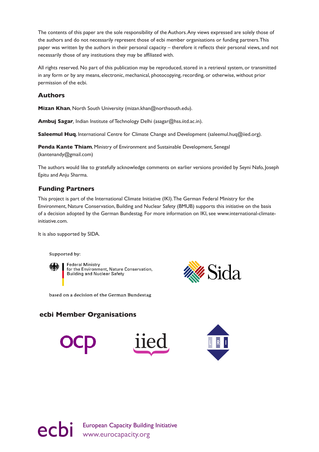The contents of this paper are the sole responsibility of the Authors. Any views expressed are solely those of the authors and do not necessarily represent those of ecbi member organisations or funding partners. This paper was written by the authors in their personal capacity – therefore it reflects their personal views, and not necessarily those of any institutions they may be affiliated with.

All rights reserved. No part of this publication may be reproduced, stored in a retrieval system, or transmitted in any form or by any means, electronic, mechanical, photocopying, recording, or otherwise, without prior permission of the ecbi.

#### **Authors**

**Mizan Khan**, North South University (mizan.khan@northsouth.edu).

**Ambuj Sagar***,* Indian Institute of Technology Delhi (asagar@hss.iitd.ac.in).

**Saleemul Huq**, International Centre for Climate Change and Development (saleemul.huq@iied.org).

**Penda Kante Thiam**, Ministry of Environment and Sustainable Development, Senegal (kantenandy@gmail.com)

The authors would like to gratefully acknowledge comments on earlier versions provided by Seyni Nafo, Joseph Epitu and Anju Sharma.

#### **Funding Partners**

This project is part of the International Climate Initiative (IKI). The German Federal Ministry for the Environment, Nature Conservation, Building and Nuclear Safety (BMUB) supports this initiative on the basis of a decision adopted by the German Bundestag. For more information on IKI, see www.international-climateinitiative.com.

It is also supported by SIDA.

Supported by:



**Federal Ministry** for the Environment, Nature Conservation,<br>Building and Nuclear Safety



based on a decision of the German Bundestag

### **ecbi Member Organisations**



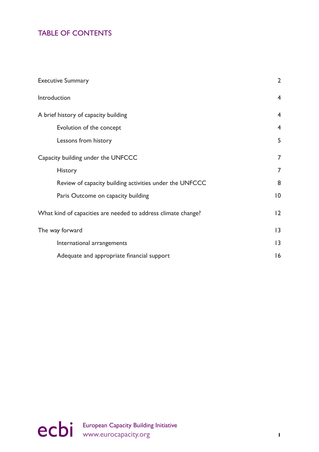## TABLE OF CONTENTS

| <b>Executive Summary</b>                                      | $\overline{2}$ |
|---------------------------------------------------------------|----------------|
| Introduction                                                  | $\overline{4}$ |
| A brief history of capacity building                          | $\overline{4}$ |
| Evolution of the concept                                      | $\overline{4}$ |
| Lessons from history                                          | 5              |
| Capacity building under the UNFCCC                            | $\overline{7}$ |
| <b>History</b>                                                | $\overline{7}$ |
| Review of capacity building activities under the UNFCCC       | 8              |
| Paris Outcome on capacity building                            | 10             |
| What kind of capacities are needed to address climate change? | 12             |
| The way forward                                               | 13             |
| International arrangements                                    | 13             |
| Adequate and appropriate financial support                    | 16             |

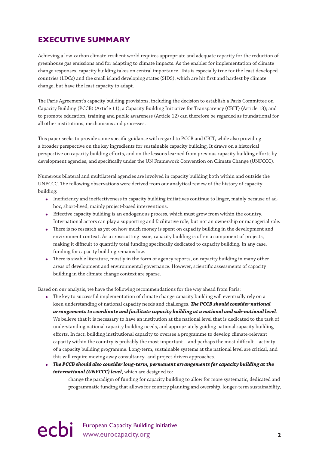## <span id="page-3-0"></span>**EXECUTIVE SUMMARY**

Achieving a low-carbon climate-resilient world requires appropriate and adequate capacity for the reduction of greenhouse gas emissions and for adapting to climate impacts. As the enabler for implementation of climate change responses, capacity building takes on central importance. This is especially true for the least developed countries (LDCs) and the small island developing states (SIDS), which are hit first and hardest by climate change, but have the least capacity to adapt.

The Paris Agreement's capacity building provisions, including the decision to establish a Paris Committee on Capacity Building (PCCB) (Article 11); a Capacity Building Initiative for Transparency (CBIT) (Article 13); and to promote education, training and public awareness (Article 12) can therefore be regarded as foundational for all other institutions, mechanisms and processes.

This paper seeks to provide some specific guidance with regard to PCCB and CBIT, while also providing a broader perspective on the key ingredients for sustainable capacity building. It draws on a historical perspective on capacity building efforts, and on the lessons learned from previous capacity building efforts by development agencies, and specifically under the UN Framework Convention on Climate Change (UNFCCC).

Numerous bilateral and multilateral agencies are involved in capacity building both within and outside the UNFCCC. The following observations were derived from our analytical review of the history of capacity building:

- Inefficiency and ineffectiveness in capacity building initiatives continue to linger, mainly because of adhoc, short-lived, mainly project-based interventions.
- Effective capacity building is an endogenous process, which must grow from within the country. International actors can play a supporting and facilitative role, but not an ownership or managerial role.
- There is no research as yet on how much money is spent on capacity building in the development and environment context. As a crosscutting issue, capacity building is often a component of projects, making it difficult to quantify total funding specifically dedicated to capacity building. In any case, funding for capacity building remains low.
- There is sizable literature, mostly in the form of agency reports, on capacity building in many other areas of development and environmental governance. However, scientific assessments of capacity building in the climate change context are sparse.

Based on our analysis, we have the following recommendations for the way ahead from Paris:

- The key to successful implementation of climate change capacity building will eventually rely on a keen understanding of national capacity needs and challenges. *The PCCB should consider national arrangements to coordinate and facilitate capacity building at a national and sub-national level*. We believe that it is necessary to have an institution at the national level that is dedicated to the task of understanding national capacity building needs, and appropriately guiding national capacity building efforts. In fact, building institutional capacity to oversee a programme to develop climate-relevant capacity within the country is probably the most important – and perhaps the most difficult – activity of a capacity building programme. Long-term, sustainable systems at the national level are critical, and this will require moving away consultancy- and project-driven approaches.
- *The PCCB should also consider long-term, permanent arrangements for capacity building at the international (UNFCCC) level*, which are designed to:
	- change the paradigm of funding for capacity building to allow for more systematic, dedicated and programmatic funding that allows for country planning and owership, longer-term sustainability,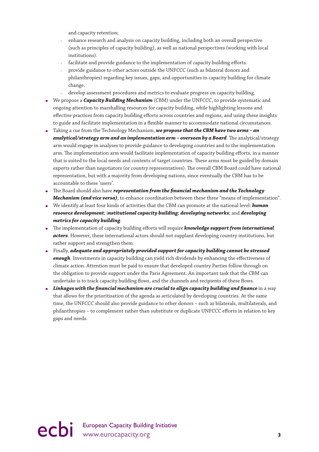and capacity retention;

- enhance research and analysis on capacity building, including both an overall perspective (such as principles of capacity building), as well as national perspectives (working with local institutions).
- facilitate and provide guidance to the implementation of capacity building efforts.
- provide guidance to other actors outside the UNFCCC (such as bilateral donors and philanthropies) regarding key issues, gaps, and opportunities in capacity building for climate change.
- develop assessment procedures and metrics to evaluate progress on capacity building.
- We propose a *Capacity Building Mechanism* (CBM) under the UNFCCC, to provide systematic and ongoing attention to marshalling resources for capacity building, while highlighting lessons and effective practices from capacity building efforts across countries and regions, and using these insights to guide and facilitate implementation in a flexible manner to accommodate national circumstances.
- Taking a cue from the Technology Mechanism, *we propose that the CBM have two arms an analytical/strategy arm and an implementation arm – overseen by a Board*. The analytical/strategy arm would engage in analyses to provide guidance to developing countries and to the implementation arm. The implementation arm would facilitate implementation of capacity building efforts, in a manner that is suited to the local needs and contexts of target countries. These arms must be guided by domain experts rather than negotiators (or country representatives). The overall CBM Board could have national representation, but with a majority from developing nations, since eventually the CBM has to be accountable to these 'users'.
- The Board should also have *representation from the financial mechanism and the Technology Mechanism (and vice versa)*, to enhance coordination between these three "means of implementation".
- We identify at least four kinds of activities that the CBM can promote at the national level: *human resource development*; i*nstitutional capacity building*; *developing networks*; and *developing metrics for capacity building*.
- The implementation of capacity building efforts will require *knowledge support from international actors*. However, these international actors should not supplant developing country institutions, but rather support and strengthen them.
- Finally, *adequate and appropriately provided support for capacity building cannot be stressed enough*. Investments in capacity building can yield rich dividends by enhancing the effectiveness of climate action. Attention must be paid to ensure that developed country Parties follow through on the obligation to provide support under the Paris Agreement. An important task that the CBM can undertake is to track capacity building flows, and the channels and recipients of these flows.
- *Linkages with the financial mechanism are crucial to align capacity building and finance* in a way that allows for the prioritisation of the agenda as articulated by developing countries. At the same time, the UNFCCC should also provide guidance to other donors – such as bilaterals, multilaterals, and philanthropies – to complement rather than substitute or duplicate UNFCCC efforts in relation to key gaps and needs.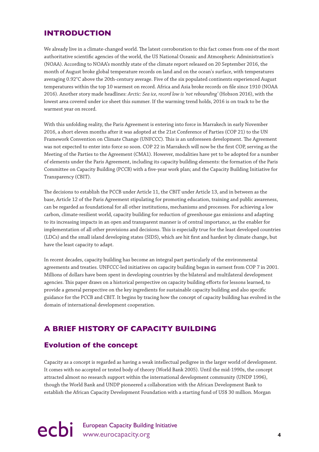## <span id="page-5-0"></span>**INTRODUCTION**

We already live in a climate-changed world. The latest corroboration to this fact comes from one of the most authoritative scientific agencies of the world, the US National Oceanic and Atmospheric Administration's (NOAA). According to NOAA's monthly state of the climate report released on 20 September 2016, the month of August broke global temperature records on land and on the ocean's surface, with temperatures averaging 0.92°C above the 20th-century average. Five of the six populated continents experienced August temperatures within the top 10 warmest on record. Africa and Asia broke records on file since 1910 (NOAA 2016). Another story made headlines: *Arctic: Sea ice, record low is 'not rebounding'* (Hobson 2016), with the lowest area covered under ice sheet this summer. If the warming trend holds, 2016 is on track to be the warmest year on record.

With this unfolding reality, the Paris Agreement is entering into force in Marrakech in early November 2016, a short eleven months after it was adopted at the 21st Conference of Parties (COP 21) to the UN Framework Convention on Climate Change (UNFCCC). This is an unforeseen development. The Agreement was not expected to enter into force so soon. COP 22 in Marrakech will now be the first COP, serving as the Meeting of the Parties to the Agreement (CMA1). However, modalities have yet to be adopted for a number of elements under the Paris Agreement, including its capacity building elements: the formation of the Paris Committee on Capacity Building (PCCB) with a five-year work plan; and the Capacity Building Initiative for Transparency (CBIT).

The decisions to establish the PCCB under Article 11, the CBIT under Article 13, and in between as the base, Article 12 of the Paris Agreement stipulating for promoting education, training and public awareness, can be regarded as foundational for all other institutions, mechanisms and processes. For achieving a low carbon, climate-resilient world, capacity building for reduction of greenhouse gas emissions and adapting to its increasing impacts in an open and transparent manner is of central importance, as the enabler for implementation of all other provisions and decisions. This is especially true for the least developed countries (LDCs) and the small island developing states (SIDS), which are hit first and hardest by climate change, but have the least capacity to adapt.

In recent decades, capacity building has become an integral part particularly of the environmental agreements and treaties. UNFCCC-led initiatives on capacity building began in earnest from COP 7 in 2001. Millions of dollars have been spent in developing countries by the bilateral and multilateral development agencies. This paper draws on a historical perspective on capacity building efforts for lessons learned, to provide a general perspective on the key ingredients for sustainable capacity building and also specific guidance for the PCCB and CBIT. It begins by tracing how the concept of capacity building has evolved in the domain of international development cooperation.

## **A BRIEF HISTORY OF CAPACITY BUILDING**

### **Evolution of the concept**

Capacity as a concept is regarded as having a weak intellectual pedigree in the larger world of development. It comes with no accepted or tested body of theory (World Bank 2005). Until the mid-1990s, the concept attracted almost no research support within the international development community (UNDP 1996), though the World Bank and UNDP pioneered a collaboration with the African Development Bank to establish the African Capacity Development Foundation with a starting fund of US\$ 30 million. Morgan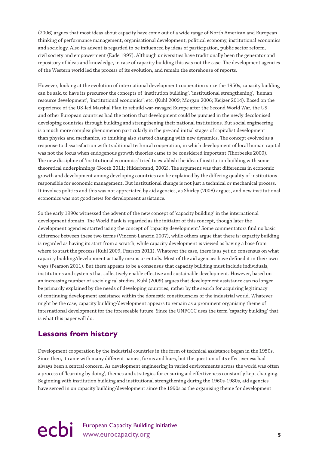<span id="page-6-0"></span>(2006) argues that most ideas about capacity have come out of a wide range of North American and European thinking of performance management, organisational development, political economy, institutional economics and sociology. Also its advent is regarded to be influenced by ideas of participation, public sector reform, civil society and empowerment (Eade 1997). Although universities have traditionally been the generator and repository of ideas and knowledge, in case of capacity building this was not the case. The development agencies of the Western world led the process of its evolution, and remain the storehouse of reports.

However, looking at the evolution of international development cooperation since the 1950s, capacity building can be said to have its precursor the concepts of 'institution building', 'institutional strengthening', 'human resource development', 'institutional economics', etc. (Kuhl 2009; Morgan 2006; Keijzer 2014). Based on the experience of the US-led Marshal Plan to rebuild war-ravaged Europe after the Second World War, the US and other European countries had the notion that development could be pursued in the newly decolonised developing countries through building and strengthening their national institutions. But social engineering is a much more complex phenomenon particularly in the pre-and initial stages of capitalist development than physics and mechanics, so thinking also started changing with new dynamics. The concept evolved as a response to dissatisfaction with traditional technical cooperation, in which development of local human capital was not the focus when endogenous growth theories came to be considered important (Thorbeeke 2000). The new discipline of 'institutional economics' tried to establish the idea of institution building with some theoretical underpinnings (Booth 2011; Hilderbrand, 2002). The argument was that differences in economic growth and development among developing countries can be explained by the differing quality of institutions responsible for economic management. But institutional change is not just a technical or mechanical process. It involves politics and this was not appreciated by aid agencies, as Shirley (2008) argues, and new institutional economics was not good news for development assistance.

So the early 1990s witnessed the advent of the new concept of 'capacity building' in the international development domain. The World Bank is regarded as the initiator of this concept, though later the development agencies started using the concept of 'capacity development.' Some commentators find no basic difference between these two terms (Vincent-Lancrin 2007), while others argue that there is: capacity building is regarded as having its start from a scratch, while capacity development is viewed as having a base from where to start the process (Kuhl 2009, Pearson 2011). Whatever the case, there is as yet no consensus on what capacity building/development actually means or entails. Most of the aid agencies have defined it in their own ways (Pearson 2011). But there appears to be a consensus that capacity building must include individuals, institutions and systems that collectively enable effective and sustainable development. However, based on an increasing number of sociological studies, Kuhl (2009) argues that development assistance can no longer be primarily explained by the needs of developing countries, rather by the search for acquiring legitimacy of continuing development assistance within the domestic constituencies of the industrial world. Whatever might be the case, capacity building/development appears to remain as a prominent organising theme of international development for the foreseeable future. Since the UNFCCC uses the term 'capacity building' that is what this paper will do.

## **Lessons from history**

Development cooperation by the industrial countries in the form of technical assistance began in the 1950s. Since then, it came with many different names, forms and hues, but the question of its effectiveness had always been a central concern. As development engineering in varied environments across the world was often a process of 'learning by doing', themes and strategies for ensuring aid effectiveness constantly kept changing. Beginning with institution building and institutional strengthening during the 1960s-1980s, aid agencies have zeroed in on capacity building/development since the 1990s as the organising theme for development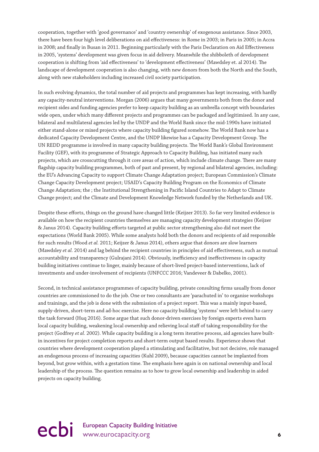cooperation, together with 'good governance' and 'country ownership' of exogenous assistance. Since 2003, there have been four high level deliberations on aid effectiveness: in Rome in 2003; in Paris in 2005; in Accra in 2008; and finally in Busan in 2011. Beginning particularly with the Paris Declaration on Aid Effectiveness in 2005, 'systems' development was given focus in aid delivery. Meanwhile the shibboleth of development cooperation is shifting from 'aid effectiveness' to 'development effectiveness' (Mawdsley et. al 2014). The landscape of development cooperation is also changing, with new donors from both the North and the South, along with new stakeholders including increased civil society participation.

In such evolving dynamics, the total number of aid projects and programmes has kept increasing, with hardly any capacity-neutral interventions. Morgan (2006) argues that many governments both from the donor and recipient sides and funding agencies prefer to keep capacity building as an umbrella concept with boundaries wide open, under which many different projects and programmes can be packaged and legitimised. In any case, bilateral and multilateral agencies led by the UNDP and the World Bank since the mid-1990s have initiated either stand-alone or mixed projects where capacity building figured somehow. The World Bank now has a dedicated Capacity Development Centre, and the UNDP likewise has a Capacity Development Group. The UN REDD programme is involved in many capacity building projects. The World Bank's Global Environment Facility (GEF), with its programme of Strategic Approach to Capacity Building, has initiated many such projects, which are crosscutting through it core areas of action, which include climate change. There are many flagship capacity building programmes, both of past and present, by regional and bilateral agencies, including: the EU's Advancing Capacity to support Climate Change Adaptation project; European Commission's Climate Change Capacity Development project; USAID's Capacity Building Program on the Economics of Climate Change Adaptation; the ; the Institutional Strengthening in Pacific Island Countries to Adapt to Climate Change project; and the Climate and Development Knowledge Network funded by the Netherlands and UK.

Despite these efforts, things on the ground have changed little (Keijzer 2013). So far very limited evidence is available on how the recipient countries themselves are managing capacity development strategies (Keijzer & Janus 2014). Capacity building efforts targeted at public sector strengthening also did not meet the expectations (World Bank 2005). While some analysts hold both the donors and recipients of aid responsible for such results (Wood *et al.* 2011; Keijzer & Janus 2014), others argue that donors are slow learners (Mawdsley *et al.* 2014) and lag behind the recipient countries in principles of aid effectiveness, such as mutual accountability and transparency (Gulrajani 2014). Obviously, inefficiency and ineffectiveness in capacity building initiatives continue to linger, mainly because of short-lived project-based interventions, lack of investments and under-involvement of recipients (UNFCCC 2016; Vandeveer & Dabelko, 2001).

Second, in technical assistance programmes of capacity building, private consulting firms usually from donor countries are commissioned to do the job. One or two consultants are 'parachuted in' to organise workshops and trainings, and the job is done with the submission of a project report. This was a mainly input-based, supply-driven, short-term and ad-hoc exercise. Here no capacity building 'systems' were left behind to carry the task forward (Huq 2016). Some argue that such donor-driven exercises by foreign experts even harm local capacity building, weakening local ownership and relieving local staff of taking responsibility for the project (Godfrey *et al.* 2002). While capacity building is a long term iterative process, aid agencies have builtin incentives for project completion reports and short-term output based results. Experience shows that countries where development cooperation played a stimulating and facilitative, but not decisive, role managed an endogenous process of increasing capacities (Kuhl 2009), because capacities cannot be implanted from beyond, but grow within, with a gestation time. The emphasis here again is on national ownership and local leadership of the process. The question remains as to how to grow local ownership and leadership in aided projects on capacity building.

## ecbi European Capacity Building Initiative **6**<br> **example 20** intervention of the www.eurocapacity.org **6**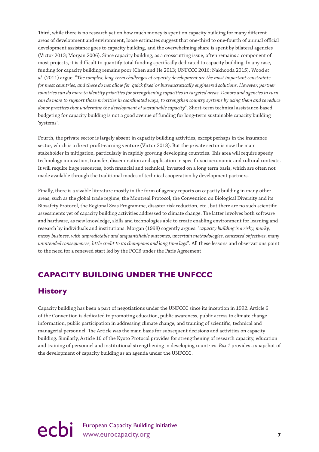<span id="page-8-0"></span>Third, while there is no research yet on how much money is spent on capacity building for many different areas of development and environment, loose estimates suggest that one-third to one-fourth of annual official development assistance goes to capacity building, and the overwhelming share is spent by bilateral agencies (Victor 2013; Morgan 2006). Since capacity building, as a crosscutting issue, often remains a component of most projects, it is difficult to quantify total funding specifically dedicated to capacity building. In any case, funding for capacity building remains poor (Chen and He 2013; UNFCCC 2016; Nakhooda 2015). Wood *et al.* (2011) argue: "T*he complex, long-term challenges of capacity development are the most important constraints for most countries, and these do not allow for 'quick fixes' or bureaucratically engineered solutions. However, partner countries can do more to identify priorities for strengthening capacities in targeted areas. Donors and agencies in turn can do more to support those priorities in coordinated ways, to strengthen country systems by using them and to reduce donor practices that undermine the development of sustainable capacity*". Short-term technical assistance-based budgeting for capacity building is not a good avenue of funding for long-term sustainable capacity building 'systems'.

Fourth, the private sector is largely absent in capacity building activities, except perhaps in the insurance sector, which is a direct profit-earning venture (Victor 2013). But the private sector is now the main stakeholder in mitigation, particularly in rapidly growing developing countries. This area will require speedy technology innovation, transfer, dissemination and application in specific socioeconomic and cultural contexts. It will require huge resources, both financial and technical, invested on a long term basis, which are often not made available through the traditional modes of technical cooperation by development partners.

Finally, there is a sizable literature mostly in the form of agency reports on capacity building in many other areas, such as the global trade regime, the Montreal Protocol, the Convention on Biological Diversity and its Biosafety Protocol, the Regional Seas Programme, disaster risk reduction, etc., but there are no such scientific assessments yet of capacity building activities addressed to climate change. The latter involves both software and hardware, as new knowledge, skills and technologies able to create enabling environment for learning and research by individuals and institutions. Morgan (1998) cogently argues: "*capacity building is a risky, murky, messy business, with unpredictable and unquantifiable outcomes, uncertain methodologies, contested objectives, many unintended consequences, little credit to its champions and long time lags*". All these lessons and observations point to the need for a renewed start led by the PCCB under the Paris Agreement.

## **CAPACITY BUILDING UNDER THE UNFCCC**

## **History**

Capacity building has been a part of negotiations under the UNFCCC since its inception in 1992. Article 6 of the Convention is dedicated to promoting education, public awareness, public access to climate change information, public participation in addressing climate change, and training of scientific, technical and managerial personnel. The Article was the main basis for subsequent decisions and activities on capacity building. Similarly, Article 10 of the Kyoto Protocol provides for strengthening of research capacity, education and training of personnel and institutional strengthening in developing countries. *Box 1* provides a snapshot of the development of capacity building as an agenda under the UNFCCC.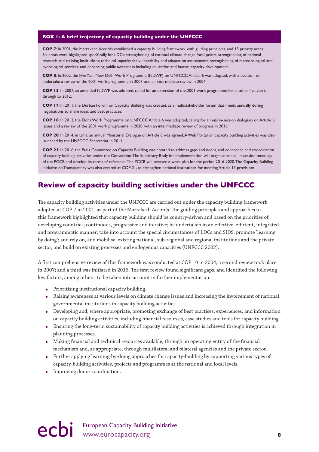#### <span id="page-9-0"></span>**BOX 1: A brief trajectory of capacity building under the UNFCCC**

**COP 7**: In 2001, the Marrakech Accords established a capacity building framework with guiding principles, and 15 priority areas. Six areas were highlighted specifically for LDCs: strengthening of national climate change focal points; strengthening of national research and training institutions; technical capacity for vulnerability and adaptation assessments; strengthening of meteorological and hydrological services; and enhancing public awareness including education and human capacity development.

**COP 8**: In 2002, the Five Year New Delhi Work Programme (NDWP) on UNFCCC Article 6 was adopted, with a decision to undertake a review of the 2001 work programme in 2007, and an intermediate review in 2004.

**COP 13**: In 2007, an amended NDWP was adopted, called for an extension of the 2001 work programme for another five years, through to 2012.

**COP 17**: In 2011, the Durban Forum on Capacity Building was created, as a multistakeholder forum that meets annually during negotiations to share ideas and best practices.

**COP 18**: In 2012, the Doha Work Programme on UNFCCC Article 6 was adopted, calling for annual in-session dialogues on Article 6 issues and a review of the 2001 work programme in 2020, with an intermediate review of progress in 2016.

**COP 20**: In 2014, in Lima, an annual Ministerial Dialogue on Article 6 was agreed. A Web Portal on capacity building activities was also launched by the UNFCCC Secretariat in 2014.

**COP 21**: In 2016, the Paris Committee on Capacity Building was created to address gaps and needs, and coherence and coordination of capacity building activities under the Convention. The Subsidiary Body for Implementation will organise annual in-session meetings of the PCCB and develop its terms of reference. The PCCB will oversee a work plan for the period 2016-2020. The Capacity Building Initiative on Transparency was also created at COP 21, to strengthen national institutions for meeting Article 13 provisions.

### **Review of capacity building activities under the UNFCCC**

The capacity building activities under the UNFCCC are carried out under the capacity building framework adopted at COP 7 in 2001, as part of the Marrakech Accords. The guiding principles and approaches to this framework highlighted that capacity building should be country-driven and based on the priorities of developing countries; continuous, progressive and iterative; be undertaken in an effective, efficient, integrated and programmatic manner; take into account the special circumstances of LDCs and SIDS; promote 'learning by doing'; and rely on, and mobilise, existing national, sub-regional and regional institutions and the private sector, and build on existing processes and endogenous capacities (UNFCCC 2002).

A first comprehensive review of this framework was conducted at COP 10 in 2004; a second review took place in 2007; and a third was initiated in 2016. The first review found significant gaps, and identified the following key factors, among others, to be taken into account in further implementation:

- Prioritising institutional capacity building.
- Raising awareness at various levels on climate change issues and increasing the involvement of national governmental institutions in capacity building activities.
- Developing and, where appropriate, promoting exchange of best practices, experiences, and information on capacity building activities, including financial resources, case studies and tools for capacity building.
- Ensuring the long-term sustainability of capacity building activities is achieved through integration in planning processes.
- Making financial and technical resources available, through an operating entity of the financial mechanism and, as appropriate, through multilateral and bilateral agencies and the private sector.
- Further applying learning-by-doing approaches for capacity-building by supporting various types of capacity-building activities, projects and programmes at the national and local levels.
- Improving donor coordination.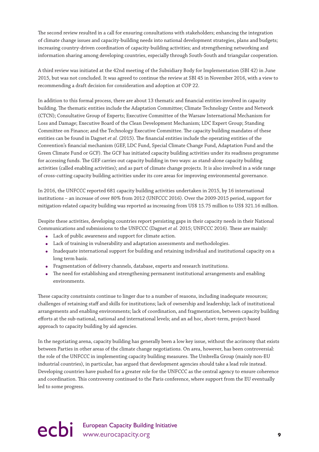The second review resulted in a call for ensuring consultations with stakeholders; enhancing the integration of climate change issues and capacity-building needs into national development strategies, plans and budgets; increasing country-driven coordination of capacity-building activities; and strengthening networking and information sharing among developing countries, especially through South-South and triangular cooperation.

A third review was initiated at the 42nd meeting of the Subsidiary Body for Implementation (SBI 42) in June 2015, but was not concluded. It was agreed to continue the review at SBI 45 in November 2016, with a view to recommending a draft decision for consideration and adoption at COP 22.

In addition to this formal process, there are about 13 thematic and financial entities involved in capacity building. The thematic entities include the Adaptation Committee; Climate Technology Centre and Network (CTCN); Consultative Group of Experts; Executive Committee of the Warsaw International Mechanism for Loss and Damage; Executive Board of the Clean Development Mechanism; LDC Expert Group; Standing Committee on Finance; and the Technology Executive Committee. The capacity building mandates of these entities can be found in Dagnet *et al.* (2015). The financial entities include the operating entities of the Convention's financial mechanism (GEF, LDC Fund, Special Climate Change Fund, Adaptation Fund and the Green Climate Fund or GCF). The GCF has initiated capacity building activities under its readiness programme for accessing funds. The GEF carries out capacity building in two ways: as stand-alone capacity building activities (called enabling activities); and as part of climate change projects. It is also involved in a wide range of cross-cutting capacity building activities under its core areas for improving environmental governance.

In 2016, the UNFCCC reported 681 capacity building activities undertaken in 2015, by 16 international institutions – an increase of over 80% from 2012 (UNFCCC 2016). Over the 2009-2015 period, support for mitigation-related capacity building was reported as increasing from US\$ 15.75 million to US\$ 321.16 million.

Despite these activities, developing countries report persisting gaps in their capacity needs in their National Communications and submissions to the UNFCCC (Dagnet *et al.* 2015; UNFCCC 2016). These are mainly:

- Lack of public awareness and support for climate action.
- Lack of training in vulnerability and adaptation assessments and methodologies.
- Inadequate international support for building and retaining individual and institutional capacity on a long term basis.
- Fragmentation of delivery channels, database, experts and research institutions.
- The need for establishing and strengthening permanent institutional arrangements and enabling environments.

These capacity constraints continue to linger due to a number of reasons, including inadequate resources; challenges of retaining staff and skills for institutions; lack of ownership and leadership; lack of institutional arrangements and enabling environments; lack of coordination, and fragmentation, between capacity building efforts at the sub-national, national and international levels; and an ad hoc, short-term, project-based approach to capacity building by aid agencies.

In the negotiating arena, capacity building has generally been a low key issue, without the acrimony that exists between Parties in other areas of the climate change negotiations. On area, however, has been controversial: the role of the UNFCCC in implementing capacity building measures. The Umbrella Group (mainly non-EU industrial countries), in particular, has argued that development agencies should take a lead role instead. Developing countries have pushed for a greater role for the UNFCCC as the central agency to ensure coherence and coordination. This controversy continued to the Paris conference, where support from the EU eventually led to some progress.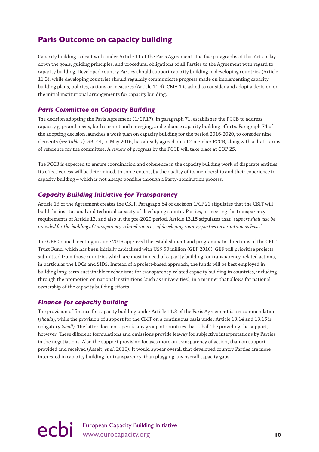## <span id="page-11-0"></span>**Paris Outcome on capacity building**

Capacity building is dealt with under Article 11 of the Paris Agreement. The five paragraphs of this Article lay down the goals, guiding principles, and procedural obligations of all Parties to the Agreement with regard to capacity building. Developed country Parties should support capacity building in developing countries (Article 11.3), while developing countries should regularly communicate progress made on implementing capacity building plans, policies, actions or measures (Article 11.4). CMA 1 is asked to consider and adopt a decision on the initial institutional arrangements for capacity building.

#### *Paris Committee on Capacity Building*

The decision adopting the Paris Agreement (1/CP.17), in paragraph 71, establishes the PCCB to address capacity gaps and needs, both current and emerging, and enhance capacity building efforts. Paragraph 74 of the adopting decision launches a work plan on capacity building for the period 2016-2020, to consider nine elements (*see Table 1*). SBI 44, in May 2016, has already agreed on a 12-member PCCB, along with a draft terms of reference for the committee. A review of progress by the PCCB will take place at COP 25.

The PCCB is expected to ensure coordination and coherence in the capacity building work of disparate entities. Its effectiveness will be determined, to some extent, by the quality of its membership and their experience in capacity building – which is not always possible through a Party-nomination process.

#### *Capacity Building Initiative for Transparency*

Article 13 of the Agreement creates the CBIT. Paragraph 84 of decision 1/CP.21 stipulates that the CBIT will build the institutional and technical capacity of developing country Parties, in meeting the transparency requirements of Article 13, and also in the pre-2020 period. Article 13.15 stipulates that "*support shall also be provided for the building of transparency-related capacity of developing country parties on a continuous basis"*.

The GEF Council meeting in June 2016 approved the establishment and programmatic directions of the CBIT Trust Fund, which has been initially capitalised with US\$ 50 million (GEF 2016). GEF will prioritise projects submitted from those countries which are most in need of capacity building for transparency-related actions, in particular the LDCs and SIDS. Instead of a project-based approach, the funds will be best employed in building long-term sustainable mechanisms for transparency-related capacity building in countries, including through the promotion on national institutions (such as universities), in a manner that allows for national ownership of the capacity building efforts.

#### *Finance for capacity building*

The provision of finance for capacity building under Article 11.3 of the Paris Agreement is a recommendation (*should*), while the provision of support for the CBIT on a continuous basis under Article 13.14 and 13.15 is obligatory (*shall*). The latter does not specific any group of countries that "shall" be providing the support, however. These different formulations and omissions provide leeway for subjective interpretations by Parties in the negotiations. Also the support provision focuses more on transparency of action, than on support provided and received (Asselt, *et al.* 2016). It would appear overall that developed country Parties are more interested in capacity building for transparency, than plugging any overall capacity gaps.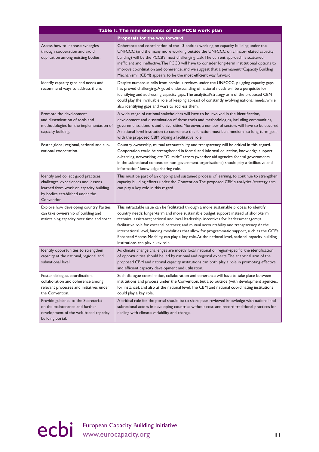| Table 1: The nine elements of the PCCB work plan                                                                                                                        |                                                                                                                                                                                                                                                                                                                                                                                                                                                                                                                                                                                                                       |  |
|-------------------------------------------------------------------------------------------------------------------------------------------------------------------------|-----------------------------------------------------------------------------------------------------------------------------------------------------------------------------------------------------------------------------------------------------------------------------------------------------------------------------------------------------------------------------------------------------------------------------------------------------------------------------------------------------------------------------------------------------------------------------------------------------------------------|--|
|                                                                                                                                                                         | <b>Proposals for the way forward</b>                                                                                                                                                                                                                                                                                                                                                                                                                                                                                                                                                                                  |  |
| Assess how to increase synergies<br>through cooperation and avoid<br>duplication among existing bodies.                                                                 | Coherence and coordination of the 13 entities working on capacity building under the<br>UNFCCC (and the many more working outside the UNFCCC on climate-related capacity<br>building) will be the PCCB's most challenging task. The current approach is scattered,<br>inefficient and ineffective. The PCCB will have to consider long-term institutional options to<br>improve coordination and coherence, and we suggest that a permanent "Capacity Building<br>Mechanism" (CBM) appears to be the most efficient way forward.                                                                                      |  |
| Identify capacity gaps and needs and<br>recommend ways to address them.                                                                                                 | Despite numerous calls from previous reviews under the UNFCCC, plugging capacity gaps<br>has proved challenging. A good understanding of national needs will be a perquisite for<br>identifying and addressing capacity gaps. The analytical/strategy arm of the proposed CBM<br>could play the invaluable role of keeping abreast of constantly evolving national needs, while<br>also identifying gaps and ways to address them.                                                                                                                                                                                    |  |
| Promote the development<br>and dissemination of tools and<br>methodologies for the implementation of<br>capacity building.                                              | A wide range of national stakeholders will have to be involved in the identification,<br>development and dissemination of these tools and methodologies, including communities,<br>governments, donors and universities. Moreover, a number of sectors will have to be covered.<br>A national-level institution to coordinate this function must be a medium- to long-term goal,<br>with the proposed CBM playing a facilitative role.                                                                                                                                                                                |  |
| Foster global, regional, national and sub-<br>national cooperation.                                                                                                     | Country ownership, mutual accountability, and transparency will be critical in this regard.<br>Cooperation could be strengthened in formal and informal education, knowledge support,<br>e-learning, networking, etc. "Outside" actors (whether aid agencies, federal governments<br>in the subnational context, or non-government organisations) should play a facilitative and<br>information/ knowledge sharing role.                                                                                                                                                                                              |  |
| Identify and collect good practices,<br>challenges, experiences and lessons<br>learned from work on capacity building<br>by bodies established under the<br>Convention. | This must be part of an ongoing and sustained process of learning, to continue to strengthen<br>capacity building efforts under the Convention. The proposed CBM's analytical/strategy arm<br>can play a key role in this regard.                                                                                                                                                                                                                                                                                                                                                                                     |  |
| Explore how developing country Parties<br>can take ownership of building and<br>maintaining capacity over time and space.                                               | This intractable issue can be facilitated through a more sustainable process to identify<br>country needs; longer-term and more sustainable budget support instead of short-term<br>technical assistance; national and local leadership; incentives for leaders/managers; a<br>facilitative role for external partners; and mutual accountability and transparency. At the<br>international level, funding modalities that allow for programmatic support, such as the GCF's<br>Enhanced Access Modality, can play a key role. At the national level, national capacity building<br>institutions can play a key role. |  |
| Identify opportunities to strengthen<br>capacity at the national, regional and<br>subnational level.                                                                    | As climate change challenges are mostly local, national or region-specific, the identification<br>of opportunities should be led by national and regional experts. The analytical arm of the<br>proposed CBM and national capacity institutions can both play a role in promoting effective<br>and efficient capacity development and utilisation.                                                                                                                                                                                                                                                                    |  |
| Foster dialogue, coordination,<br>collaboration and coherence among<br>relevant processes and initiatives under<br>the Convention.                                      | Such dialogue coordination, collaboration and coherence will have to take place between<br>institutions and process under the Convention, but also outside (with development agencies,<br>for instance), and also at the national level. The CBM and national coordinating institutions<br>could play a key role.                                                                                                                                                                                                                                                                                                     |  |
| Provide guidance to the Secretariat<br>on the maintenance and further<br>development of the web-based capacity<br>building portal.                                      | A critical role for the portal should be to share peer-reviewed knowledge with national and<br>subnational actors in developing countries without cost; and record traditional practices for<br>dealing with climate variability and change.                                                                                                                                                                                                                                                                                                                                                                          |  |

ecbi European Capacity Building Initiative www.eurocapacity.org **11**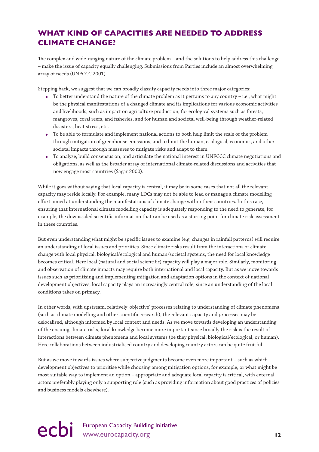## <span id="page-13-0"></span>**WHAT KIND OF CAPACITIES ARE NEEDED TO ADDRESS CLIMATE CHANGE?**

The complex and wide-ranging nature of the climate problem – and the solutions to help address this challenge – make the issue of capacity equally challenging. Submissions from Parties include an almost overwhelming array of needs (UNFCCC 2001).

Stepping back, we suggest that we can broadly classify capacity needs into three major categories:

- $\bullet$  To better understand the nature of the climate problem as it pertains to any country i.e., what might be the physical manifestations of a changed climate and its implications for various economic activities and livelihoods, such as impact on agriculture production, for ecological systems such as forests, mangroves, coral reefs, and fisheries, and for human and societal well-being through weather-related disasters, heat stress, etc.
- To be able to formulate and implement national actions to both help limit the scale of the problem through mitigation of greenhouse emissions, and to limit the human, ecological, economic, and other societal impacts through measures to mitigate risks and adapt to them.
- To analyse, build consensus on, and articulate the national interest in UNFCCC climate negotiations and obligations, as well as the broader array of international climate-related discussions and activities that now engage most countries (Sagar 2000).

While it goes without saying that local capacity is central, it may be in some cases that not all the relevant capacity may reside locally. For example, many LDCs may not be able to lead or manage a climate modelling effort aimed at understanding the manifestations of climate change within their countries. In this case, ensuring that international climate modelling capacity is adequately responding to the need to generate, for example, the downscaled scientific information that can be used as a starting point for climate risk assessment in these countries.

But even understanding what might be specific issues to examine (e.g. changes in rainfall patterns) will require an understanding of local issues and priorities. Since climate risks result from the interactions of climate change with local physical, biological/ecological and human/societal systems, the need for local knowledge becomes critical. Here local (natural and social scientific) capacity will play a major role. Similarly, monitoring and observation of climate impacts may require both international and local capacity. But as we move towards issues such as prioritising and implementing mitigation and adaptation options in the context of national development objectives, local capacity plays an increasingly central role, since an understanding of the local conditions takes on primacy.

In other words, with upstream, relatively 'objective' processes relating to understanding of climate phenomena (such as climate modelling and other scientific research), the relevant capacity and processes may be delocalised, although informed by local context and needs. As we move towards developing an understanding of the ensuing climate risks, local knowledge become more important since broadly the risk is the result of interactions between climate phenomena and local systems (be they physical, biological/ecological, or human). Here collaborations between industrialised country and developing country actors can be quite fruitful.

But as we move towards issues where subjective judgments become even more important – such as which development objectives to prioritise while choosing among mitigation options, for example, or what might be most suitable way to implement an option – appropriate and adequate local capacity is critical, with external actors preferably playing only a supporting role (such as providing information about good practices of policies and business models elsewhere).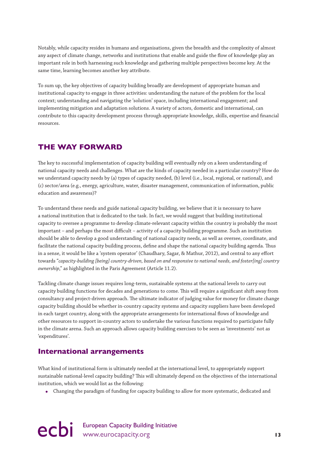<span id="page-14-0"></span>Notably, while capacity resides in humans and organisations, given the breadth and the complexity of almost any aspect of climate change, networks and institutions that enable and guide the flow of knowledge play an important role in both harnessing such knowledge and gathering multiple perspectives become key. At the same time, learning becomes another key attribute.

To sum up, the key objectives of capacity building broadly are development of appropriate human and institutional capacity to engage in three activities: understanding the nature of the problem for the local context; understanding and navigating the 'solution' space, including international engagement; and implementing mitigation and adaptation solutions. A variety of actors, domestic and international, can contribute to this capacity development process through appropriate knowledge, skills, expertise and financial resources.

## **THE WAY FORWARD**

The key to successful implementation of capacity building will eventually rely on a keen understanding of national capacity needs and challenges. What are the kinds of capacity needed in a particular country? How do we understand capacity needs by (a) types of capacity needed, (b) level (i.e., local, regional, or national), and (c) sector/area (e.g., energy, agriculture, water, disaster management, communication of information, public education and awareness)?

To understand these needs and guide national capacity building, we believe that it is necessary to have a national institution that is dedicated to the task. In fact, we would suggest that building institutional capacity to oversee a programme to develop climate-relevant capacity within the country is probably the most important – and perhaps the most difficult – activity of a capacity building programme. Such an institution should be able to develop a good understanding of national capacity needs, as well as oversee, coordinate, and facilitate the national capacity building process, define and shape the national capacity building agenda. Thus in a sense, it would be like a 'system operator' (Chaudhary, Sagar, & Mathur, 2012), and central to any effort towards "*capacity-building [being] country-driven, based on and responsive to national needs, and foster[ing] country ownership*," as highlighted in the Paris Agreement (Article 11.2).

Tackling climate change issues requires long-term, sustainable systems at the national levels to carry out capacity building functions for decades and generations to come. This will require a significant shift away from consultancy and project-driven approach. The ultimate indicator of judging value for money for climate change capacity building should be whether in-country capacity systems and capacity suppliers have been developed in each target country, along with the appropriate arrangements for international flows of knowledge and other resources to support in-country actors to undertake the various functions required to participate fully in the climate arena. Such an approach allows capacity building exercises to be seen as 'investments' not as 'expenditures'.

### **International arrangements**

What kind of institutional form is ultimately needed at the international level, to appropriately support sustainable national-level capacity building? This will ultimately depend on the objectives of the international institution, which we would list as the following:

● Changing the paradigm of funding for capacity building to allow for more systematic, dedicated and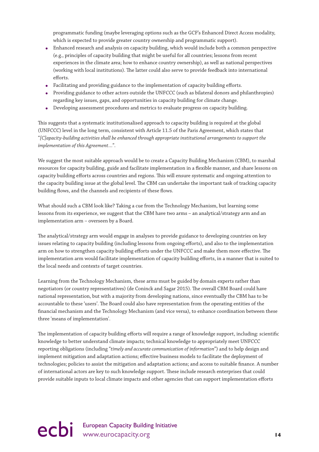programmatic funding (maybe leveraging options such as the GCF's Enhanced Direct Access modality, which is expected to provide greater country ownership and programmatic support).

- Enhanced research and analysis on capacity building, which would include both a common perspective (e.g., principles of capacity building that might be useful for all countries; lessons from recent experiences in the climate area; how to enhance country ownership), as well as national perspectives (working with local institutions). The latter could also serve to provide feedback into international efforts.
- Facilitating and providing guidance to the implementation of capacity building efforts.
- Providing guidance to other actors outside the UNFCCC (such as bilateral donors and philanthropies) regarding key issues, gaps, and opportunities in capacity building for climate change.
- Developing assessment procedures and metrics to evaluate progress on capacity building.

This suggests that a systematic institutionalised approach to capacity building is required at the global (UNFCCC) level in the long term, consistent with Article 11.5 of the Paris Agreement, which states that "*[C]apacity-building activities shall be enhanced through appropriate institutional arrangements to support the implementation of this Agreement…*".

We suggest the most suitable approach would be to create a Capacity Building Mechanism (CBM), to marshal resources for capacity building, guide and facilitate implementation in a flexible manner, and share lessons on capacity building efforts across countries and regions. This will ensure systematic and ongoing attention to the capacity building issue at the global level. The CBM can undertake the important task of tracking capacity building flows, and the channels and recipients of these flows.

What should such a CBM look like? Taking a cue from the Technology Mechanism, but learning some lessons from its experience, we suggest that the CBM have two arms – an analytical/strategy arm and an implementation arm – overseen by a Board.

The analytical/strategy arm would engage in analyses to provide guidance to developing countries on key issues relating to capacity building (including lessons from ongoing efforts), and also to the implementation arm on how to strengthen capacity building efforts under the UNFCCC and make them more effective. The implementation arm would facilitate implementation of capacity building efforts, in a manner that is suited to the local needs and contexts of target countries.

Learning from the Technology Mechanism, these arms must be guided by domain experts rather than negotiators (or country representatives) (de Coninck and Sagar 2015). The overall CBM Board could have national representation, but with a majority from developing nations, since eventually the CBM has to be accountable to these 'users'. The Board could also have representation from the operating entities of the financial mechanism and the Technology Mechanism (and vice versa), to enhance coordination between these three 'means of implementation'.

The implementation of capacity building efforts will require a range of knowledge support, including: scientific knowledge to better understand climate impacts; technical knowledge to appropriately meet UNFCCC reporting obligations (including "*timely and accurate communication of information*") and to help design and implement mitigation and adaptation actions; effective business models to facilitate the deployment of technologies; policies to assist the mitigation and adaptation actions; and access to suitable finance. A number of international actors are key to such knowledge support. These include research enterprises that could provide suitable inputs to local climate impacts and other agencies that can support implementation efforts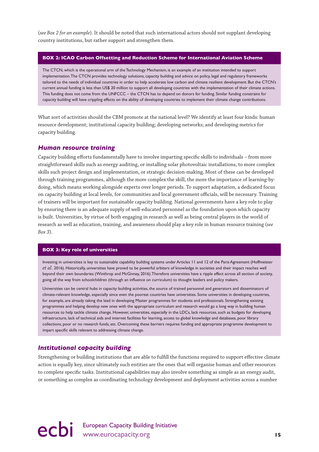(*see Box 2 for an example*). It should be noted that such international actors should not supplant developing country institutions, but rather support and strengthen them.

#### **BOX 2: ICAO Carbon Offsetting and Reduction Scheme for International Aviation Scheme**

The CTCN, which is the operational arm of the Technology Mechanism, is an example of an institution intended to support implementation. The CTCN provides technology solutions, capacity building and advice on policy, legal and regulatory frameworks tailored to the needs of individual countries in order to help accelerate low carbon and climate resilient development. But the CTCN's current annual funding is less than US\$ 20 million to support all developing countries with the implementation of their climate actions. This funding does not come from the UNFCCC – the CTCN has to depend on donors for funding. Similar funding constrains for capacity building will have crippling effects on the ability of developing countries to implement their climate change contributions.

What sort of activities should the CBM promote at the national level? We identify at least four kinds: human resource development; institutional capacity building; developing networks; and developing metrics for capacity building.

#### *Human resource training*

Capacity building efforts fundamentally have to involve imparting specific skills to individuals – from more straightforward skills such as energy auditing, or installing solar photovoltaic installations, to more complex skills such project design and implementation, or strategic decision-making. Most of these can be developed through training programmes, although the more complex the skill, the more the importance of learning-bydoing, which means working alongside experts over longer periods. To support adaptation, a dedicated focus on capacity building at local levels, for communities and local government officials, will be necessary. Training of trainers will be important for sustainable capacity building. National governments have a key role to play by ensuring there is an adequate supply of well-educated personnel as the foundation upon which capacity is built. Universities, by virtue of both engaging in research as well as being central players in the world of research as well as education, training, and awareness should play a key role in human resource training (*see Box 3*).

#### **BOX 3: Key role of universities**

Investing in universities is key to sustainable capability building systems under Articles 11 and 12 of the Paris Agreement (Hoffmeister *et al.* 2016). Historically, universities have proved to be powerful arbiters of knowledge in societies and their impact reaches well beyond their own boundaries (Winthrop and McGivney, 2016). Therefore universities have a ripple effect across all section of society, going all the way from schoolchildren (through an influence on curriculum) to thought leaders and policy makers.

Universities can be central hubs in capacity building activities, the source of trained personnel and generators and disseminators of climate-relevant knowledge, especially since even the poorest countries have universities. Some universities in developing countries, for example, are already taking the lead in developing Master programmes for students and professionals. Strengthening existing programmes and helping develop new ones with the appropriate curriculum and research would go a long way in building human resources to help tackle climate change. However, universities, especially in the LDCs, lack resources, such as budgets for developing infrastructure, lack of technical aids and internet facilities for learning, access to global knowledge and databases, poor library collections, poor or no research funds, etc. Overcoming these barriers requires funding and appropriate programme development to impart specific skills relevant to addressing climate change.

#### *Institutional capacity building*

Strengthening or building institutions that are able to fulfill the functions required to support effective climate action is equally key, since ultimately such entities are the ones that will organise human and other resources to complete specific tasks. Institutional capabilities may also involve something as simple as an energy audit, or something as complex as coordinating technology development and deployment activities across a number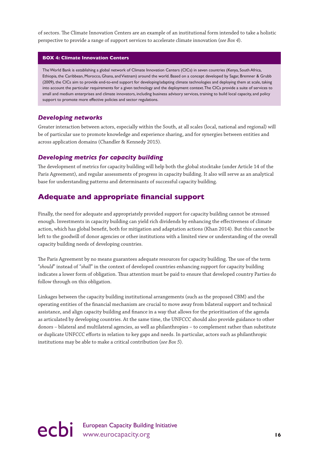<span id="page-17-0"></span>of sectors. The Climate Innovation Centers are an example of an institutional form intended to take a holistic perspective to provide a range of support services to accelerate climate innovation (*see Box 4*).

#### **BOX 4: Climate Innovation Centers**

The World Bank is establishing a global network of Climate Innovation Centers (CICs) in seven countries (Kenya, South Africa, Ethiopia, the Caribbean, Morocco, Ghana, and Vietnam) around the world. Based on a concept developed by Sagar, Bremner & Grubb (2009), the CICs aim to provide end-to-end support for developing/adapting climate technologies and deploying them at scale, taking into account the particular requirements for a given technology and the deployment context. The CICs provide a suite of services to small and medium enterprises and climate innovators, including business advisory services, training to build local capacity, and policy support to promote more effective policies and sector regulations.

#### *Developing networks*

Greater interaction between actors, especially within the South, at all scales (local, national and regional) will be of particular use to promote knowledge and experience sharing, and for synergies between entities and across application domains (Chandler & Kennedy 2015).

#### *Developing metrics for capacity building*

The development of metrics for capacity building will help both the global stocktake (under Article 14 of the Paris Agreement), and regular assessments of progress in capacity building. It also will serve as an analytical base for understanding patterns and determinants of successful capacity building.

### **Adequate and appropriate financial support**

Finally, the need for adequate and appropriately provided support for capacity building cannot be stressed enough. Investments in capacity building can yield rich dividends by enhancing the effectiveness of climate action, which has global benefit, both for mitigation and adaptation actions (Khan 2014). But this cannot be left to the goodwill of donor agencies or other institutions with a limited view or understanding of the overall capacity building needs of developing countries.

The Paris Agreement by no means guarantees adequate resources for capacity building. The use of the term "*should*" instead of "*shall*" in the context of developed countries enhancing support for capacity building indicates a lower form of obligation. Thus attention must be paid to ensure that developed country Parties do follow through on this obligation.

Linkages between the capacity building institutional arrangements (such as the proposed CBM) and the operating entities of the financial mechanism are crucial to move away from bilateral support and technical assistance, and align capacity building and finance in a way that allows for the prioritisation of the agenda as articulated by developing countries. At the same time, the UNFCCC should also provide guidance to other donors – bilateral and multilateral agencies, as well as philanthropies – to complement rather than substitute or duplicate UNFCCC efforts in relation to key gaps and needs. In particular, actors such as philanthropic institutions may be able to make a critical contribution (*see Box 5*).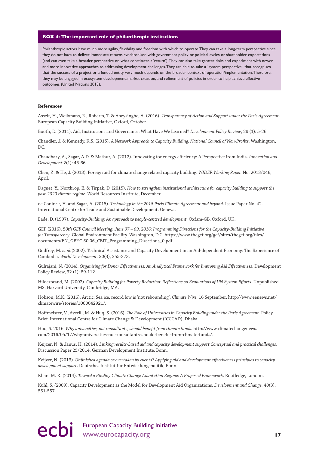#### **BOX 4: The important role of philanthropic institutions**

Philanthropic actors have much more agility, flexibility and freedom with which to operate. They can take a long-term perspective since they do not have to deliver immediate returns synchronised with government policy or political cycles or shareholder expectations (and can even take a broader perspective on what constitutes a 'return'). They can also take greater risks and experiment with newer and more innovative approaches to addressing development challenges. They are able to take a "system perspective" that recognises that the success of a project or a funded entity very much depends on the broader context of operation/implementation. Therefore, they may be engaged in ecosystem development, market creation, and refinement of policies in order to help achieve effective outcomes (United Nations 2013).

#### **References**

Asselt, H., Weikmans, R., Roberts, T. & Abeysinghe, A. (2016). *Transparency of Action and Support under the Paris Agreement*. European Capacity Building Initiative, Oxford, October.

Booth, D. (2011). Aid, Institutions and Governance: What Have We Learned? *Development Policy Review*, 29 (1): 5-26.

Chandler, J. & Kennedy, K.S. (2015). *A Network Approach to Capacity Building. National Council of Non-Profits*. Washington,  $DC$ 

Chaudhary, A., Sagar, A.D. & Mathur, A. (2012). Innovating for energy efficiency: A Perspective from India. *Innovation and Development* 2(1): 45-66.

Chen, Z. & He, J. (2013). Foreign aid for climate change related capacity building. *WIDER Working Paper.* No. 2013/046, April.

Dagnet, Y., Northrop, E. & Tirpak, D. (2015). *How to strengthen institutional architecture for capacity building to support the post-2020 climate regime*. World Resources Institute, December.

de Coninck, H. and Sagar, A. (2015). *Technology in the 2015 Paris Climate Agreement and beyond*. Issue Paper No. 42. International Centre for Trade and Sustainable Development. Geneva.

Eade, D. (1997). *Capacity-Building: An approach to people-centred development*. Oxfam-GB, Oxford, UK.

GEF (2016). 5*0th GEF Council Meeting, June 07 – 09, 2016: Programming Directions for the Capacity-Building Initiative for Transparency*. Global Environment Facility. Washington, D.C. https://www.thegef.org/gef/sites/thegef.org/files/ documents/EN\_GEF.C.50.06\_CBIT\_Programming\_Directions\_0.pdf.

Godfrey, M. *et al.*(2002). Technical Assistance and Capacity Development in an Aid-dependent Economy: The Experience of Cambodia. *World Development.* 30(3), 355-373.

Gulrajani, N. (2014). *Organising for Donor Effectiveness: An Analytical Framework for Improving Aid Effectiveness*. Development Policy Review, 32 (1): 89-112.

Hilderbrand, M. (2002). *Capacity Building for Poverty Reduction: Reflections on Evaluations of UN System Efforts*. Unpublished MS. Harvard University, Cambridge, MA.

Hobson, M.K. (2016). Arctic: Sea ice, record low is 'not rebounding'. *Climate Wire*. 16 September. http://www.eenews.net/ climatewire/stories/1060042921/.

Hoffmeister, V., Averill, M. & Huq, S. (2016). *The Role of Universities in Capacity Building under the Paris Agreement*. Policy Brief. International Centre for Climate Change & Development (ICCCAD), Dhaka.

Huq, S. 2016. *Why universities, not consultants, should benefit from climate funds*. http://www.climatechangenews. com/2016/05/17/why-universities-not-consultants-should-benefit-from-climate-funds/.

Keijzer, N. & Janus, H. (2014). *Linking results-based aid and capacity development support Conceptual and practical challenges*. Discussion Paper 25/2014. German Development Institute, Bonn.

Keijzer, N. (2013). *Unfinished agenda or overtaken by events? Applying aid and development effectiveness principles to capacity development support*. Deutsches Institut für Entwicklungspolitik, Bonn.

Khan, M. R. (2014). *Toward a Binding Climate Change Adaptation Regime: A Proposed Framework*. Routledge, London.

Kuhl, S. (2009). Capacity Development as the Model for Development Aid Organizations. *Development and Change.* 40(3), 551-557.